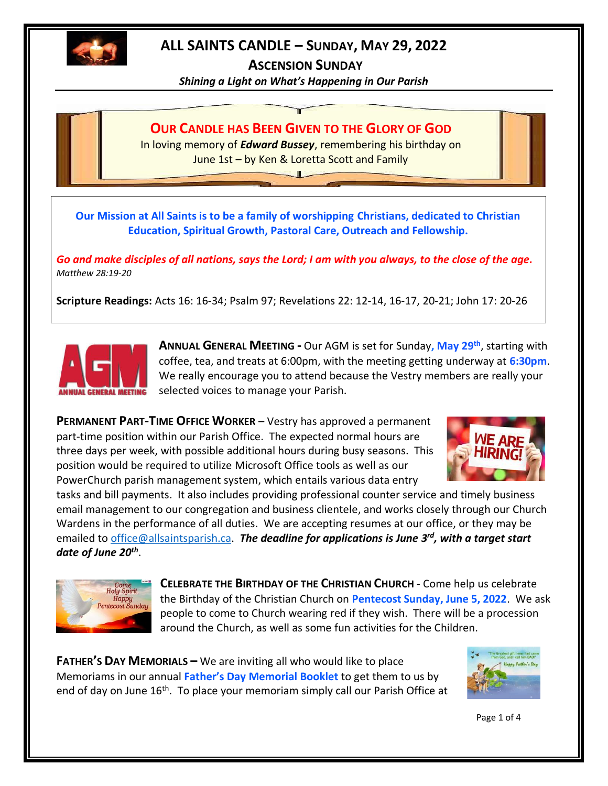

# **ALL SAINTS CANDLE – SUNDAY, MAY 29, 2022**

**ASCENSION SUNDAY**

*Shining a Light on What's Happening in Our Parish*



June 1st – by Ken & Loretta Scott and Family┵

**Our Mission at All Saints is to be a family of worshipping Christians, dedicated to Christian Education, Spiritual Growth, Pastoral Care, Outreach and Fellowship.**

*Go and make disciples of all nations, says the Lord; I am with you always, to the close of the age. Matthew 28:19-20*

**Scripture Readings:** Acts 16: 16-34; Psalm 97; Revelations 22: 12-14, 16-17, 20-21; John 17: 20-26



**ANNUAL GENERAL MEETING -** Our AGM is set for Sunday**, May 29th**, starting with coffee, tea, and treats at 6:00pm, with the meeting getting underway at **6:30pm**. We really encourage you to attend because the Vestry members are really your selected voices to manage your Parish.

**PERMANENT PART-TIME OFFICE WORKER** – Vestry has approved a permanent part-time position within our Parish Office. The expected normal hours are three days per week, with possible additional hours during busy seasons. This position would be required to utilize Microsoft Office tools as well as our PowerChurch parish management system, which entails various data entry



tasks and bill payments. It also includes providing professional counter service and timely business email management to our congregation and business clientele, and works closely through our Church Wardens in the performance of all duties. We are accepting resumes at our office, or they may be emailed to *office@allsaintsparish.ca.* The deadline for applications is June 3<sup>rd</sup>, with a target start *date of June 20th* .



**CELEBRATE THE BIRTHDAY OF THE CHRISTIAN CHURCH** - Come help us celebrate the Birthday of the Christian Church on **Pentecost Sunday, June 5, 2022**. We ask people to come to Church wearing red if they wish. There will be a procession around the Church, as well as some fun activities for the Children.

**FATHER'S DAY MEMORIALS –** We are inviting all who would like to place Memoriams in our annual **Father's Day Memorial Booklet** to get them to us by end of day on June 16<sup>th</sup>. To place your memoriam simply call our Parish Office at



Page 1 of 4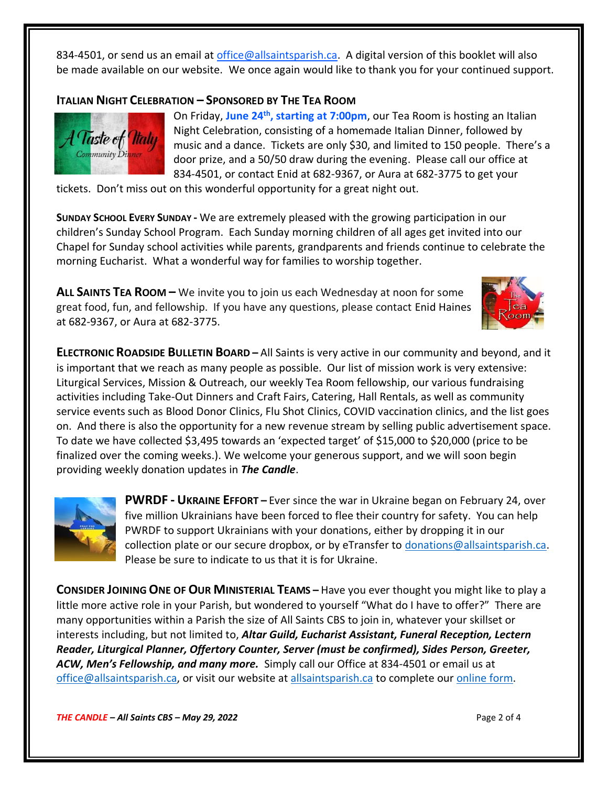834-4501, or send us an email at [office@allsaintsparish.ca.](mailto:office@allsaintsparish.ca) A digital version of this booklet will also be made available on our website. We once again would like to thank you for your continued support.

# **ITALIAN NIGHT CELEBRATION – SPONSORED BY THE TEA ROOM**



On Friday, **June 24 th, starting at 7:00pm**, our Tea Room is hosting an Italian Night Celebration, consisting of a homemade Italian Dinner, followed by music and a dance. Tickets are only \$30, and limited to 150 people. There's a door prize, and a 50/50 draw during the evening. Please call our office at 834-4501, or contact Enid at 682-9367, or Aura at 682-3775 to get your

tickets. Don't miss out on this wonderful opportunity for a great night out.

**SUNDAY SCHOOL EVERY SUNDAY -** We are extremely pleased with the growing participation in our children's Sunday School Program. Each Sunday morning children of all ages get invited into our Chapel for Sunday school activities while parents, grandparents and friends continue to celebrate the morning Eucharist. What a wonderful way for families to worship together.

**ALL SAINTS TEA ROOM –** We invite you to join us each Wednesday at noon for some great food, fun, and fellowship. If you have any questions, please contact Enid Haines at 682-9367, or Aura at 682-3775.



**ELECTRONIC ROADSIDE BULLETIN BOARD –** All Saints is very active in our community and beyond, and it is important that we reach as many people as possible. Our list of mission work is very extensive: Liturgical Services, Mission & Outreach, our weekly Tea Room fellowship, our various fundraising activities including Take-Out Dinners and Craft Fairs, Catering, Hall Rentals, as well as community service events such as Blood Donor Clinics, Flu Shot Clinics, COVID vaccination clinics, and the list goes on. And there is also the opportunity for a new revenue stream by selling public advertisement space. To date we have collected \$3,495 towards an 'expected target' of \$15,000 to \$20,000 (price to be finalized over the coming weeks.). We welcome your generous support, and we will soon begin providing weekly donation updates in *The Candle*.



**PWRDF - UKRAINE EFFORT –** Ever since the war in Ukraine began on February 24, over five million Ukrainians have been forced to flee their country for safety. You can help PWRDF to support Ukrainians with your donations, either by dropping it in our collection plate or our secure dropbox, or by eTransfer to [donations@allsaintsparish.ca.](mailto:donations@allsaintsparish.ca) Please be sure to indicate to us that it is for Ukraine.

**CONSIDER JOINING ONE OF OUR MINISTERIAL TEAMS –** Have you ever thought you might like to play a little more active role in your Parish, but wondered to yourself "What do I have to offer?" There are many opportunities within a Parish the size of All Saints CBS to join in, whatever your skillset or interests including, but not limited to, *Altar Guild, Eucharist Assistant, Funeral Reception, Lectern Reader, Liturgical Planner, Offertory Counter, Server (must be confirmed), Sides Person, Greeter, ACW, Men's Fellowship, and many more.* Simply call our Office at 834-4501 or email us at [office@allsaintsparish.ca,](mailto:office@allsaintsparish.ca) or visit our website a[t allsaintsparish.ca](/Users/ralphfagan/Library/Containers/com.microsoft.Word/Data/Library/Preferences/AutoRecovery/allsaintsparish.ca) to complete our [online form.](http://allsaintsparish.ca/covid-pre-registration-form_2)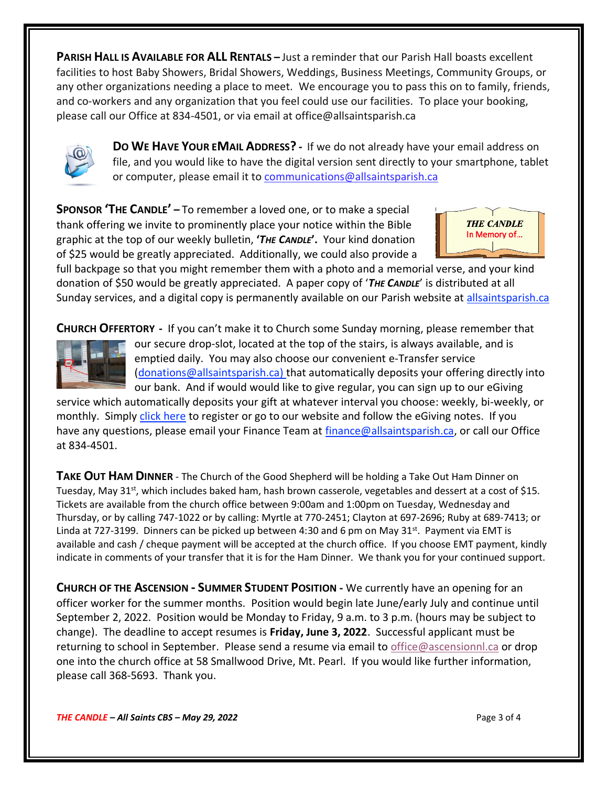**PARISH HALL IS AVAILABLE FOR ALL RENTALS –** Just a reminder that our Parish Hall boasts excellent facilities to host Baby Showers, Bridal Showers, Weddings, Business Meetings, Community Groups, or any other organizations needing a place to meet. We encourage you to pass this on to family, friends, and co-workers and any organization that you feel could use our facilities. To place your booking, please call our Office at 834-4501, or via email at office@allsaintsparish.ca



**DO WE HAVE YOUR EMAIL ADDRESS? -** If we do not already have your email address on file, and you would like to have the digital version sent directly to your smartphone, tablet or computer, please email it to [communications@allsaintsparish.ca](mailto:communications@allsaintsparish.ca?subject=eMail%20Address%20Update)

**SPONSOR 'THE CANDLE' –** To remember a loved one, or to make a special thank offering we invite to prominently place your notice within the Bible graphic at the top of our weekly bulletin, **'***THE CANDLE***'.** Your kind donation of \$25 would be greatly appreciated. Additionally, we could also provide a



full backpage so that you might remember them with a photo and a memorial verse, and your kind donation of \$50 would be greatly appreciated. A paper copy of '*THE CANDLE*' is distributed at all Sunday services, and a digital copy is permanently available on our Parish website at [allsaintsparish.ca](http://allsaintsparish.ca/thecandle.html)

**CHURCH OFFERTORY -** If you can't make it to Church some Sunday morning, please remember that



our secure drop-slot, located at the top of the stairs, is always available, and is emptied daily. You may also choose our convenient e-Transfer service [\(donations@allsaintsparish.ca\)](mailto:donations@allsaintsparish.ca) that automatically deposits your offering directly into our bank. And if would would like to give regular, you can sign up to our eGiving

service which automatically deposits your gift at whatever interval you choose: weekly, bi-weekly, or monthly. Simply [click here](http://allsaintsparish.ca/egiving-online-information-form) to register or go to our website and follow the eGiving notes. If you have [any](https://wfsites-to.websitecreatorprotool.com/870a5dd5.com/Admin/%7BSK_NODEID__22939341__SK%7D) questions, please email your Finance Team at [finance@allsaintsparish.ca,](mailto:finance@allsaintsparish.ca) or call our Office at 834-4501.

**TAKE OUT HAM DINNER** - The Church of the Good Shepherd will be holding a Take Out Ham Dinner on Tuesday, May 31<sup>st</sup>, which includes baked ham, hash brown casserole, vegetables and dessert at a cost of \$15. Tickets are available from the church office between 9:00am and 1:00pm on Tuesday, Wednesday and Thursday, or by calling 747-1022 or by calling: Myrtle at 770-2451; Clayton at 697-2696; Ruby at 689-7413; or Linda at 727-3199. Dinners can be picked up between 4:30 and 6 pm on May 31st. Payment via EMT is available and cash / cheque payment will be accepted at the church office. If you choose EMT payment, kindly indicate in comments of your transfer that it is for the Ham Dinner. We thank you for your continued support.

**CHURCH OF THE ASCENSION - SUMMER STUDENT POSITION -** We currently have an opening for an officer worker for the summer months. Position would begin late June/early July and continue until September 2, 2022. Position would be Monday to Friday, 9 a.m. to 3 p.m. (hours may be subject to change). The deadline to accept resumes is **Friday, June 3, 2022**. Successful applicant must be returning to school in September. Please send a resume via email to [office@ascensionnl.ca](mailto:office@ascensionnl.ca) or drop one into the church office at 58 Smallwood Drive, Mt. Pearl. If you would like further information, please call 368-5693. Thank you.